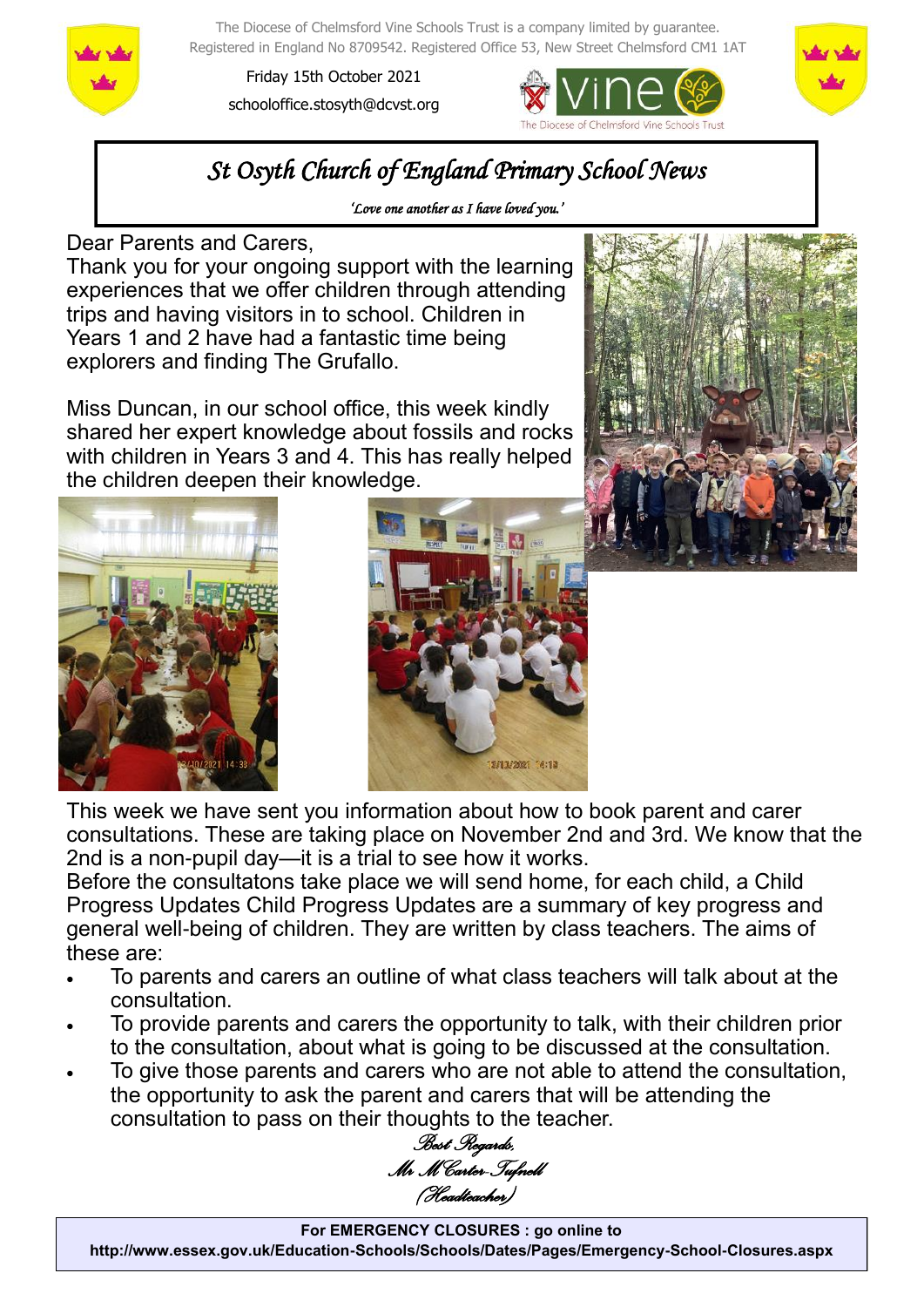

The Diocese of Chelmsford Vine Schools Trust is a company limited by guarantee. Registered in England No 8709542. Registered Office 53, New Street Chelmsford CM1 1AT

Friday 15th October 2021 schooloffice.stosyth@dcvst.org





# *St Osyth Church of England Primary School News*

*'Love one another as I have loved you.'* 

Dear Parents and Carers,

Thank you for your ongoing support with the learning experiences that we offer children through attending trips and having visitors in to school. Children in Years 1 and 2 have had a fantastic time being explorers and finding The Grufallo.

Miss Duncan, in our school office, this week kindly shared her expert knowledge about fossils and rocks with children in Years 3 and 4. This has really helped the children deepen their knowledge.







This week we have sent you information about how to book parent and carer consultations. These are taking place on November 2nd and 3rd. We know that the 2nd is a non-pupil day—it is a trial to see how it works.

Before the consultatons take place we will send home, for each child, a Child Progress Updates Child Progress Updates are a summary of key progress and general well-being of children. They are written by class teachers. The aims of these are:

- To parents and carers an outline of what class teachers will talk about at the consultation.
- To provide parents and carers the opportunity to talk, with their children prior to the consultation, about what is going to be discussed at the consultation.
- To give those parents and carers who are not able to attend the consultation, the opportunity to ask the parent and carers that will be attending the consultation to pass on their thoughts to the teacher.

*Best Regards, Mr M Carter-Tufnell (Headteacher)*

**For EMERGENCY CLOSURES : go online to http://www.essex.gov.uk/Education-Schools/Schools/Dates/Pages/Emergency-School-Closures.aspx**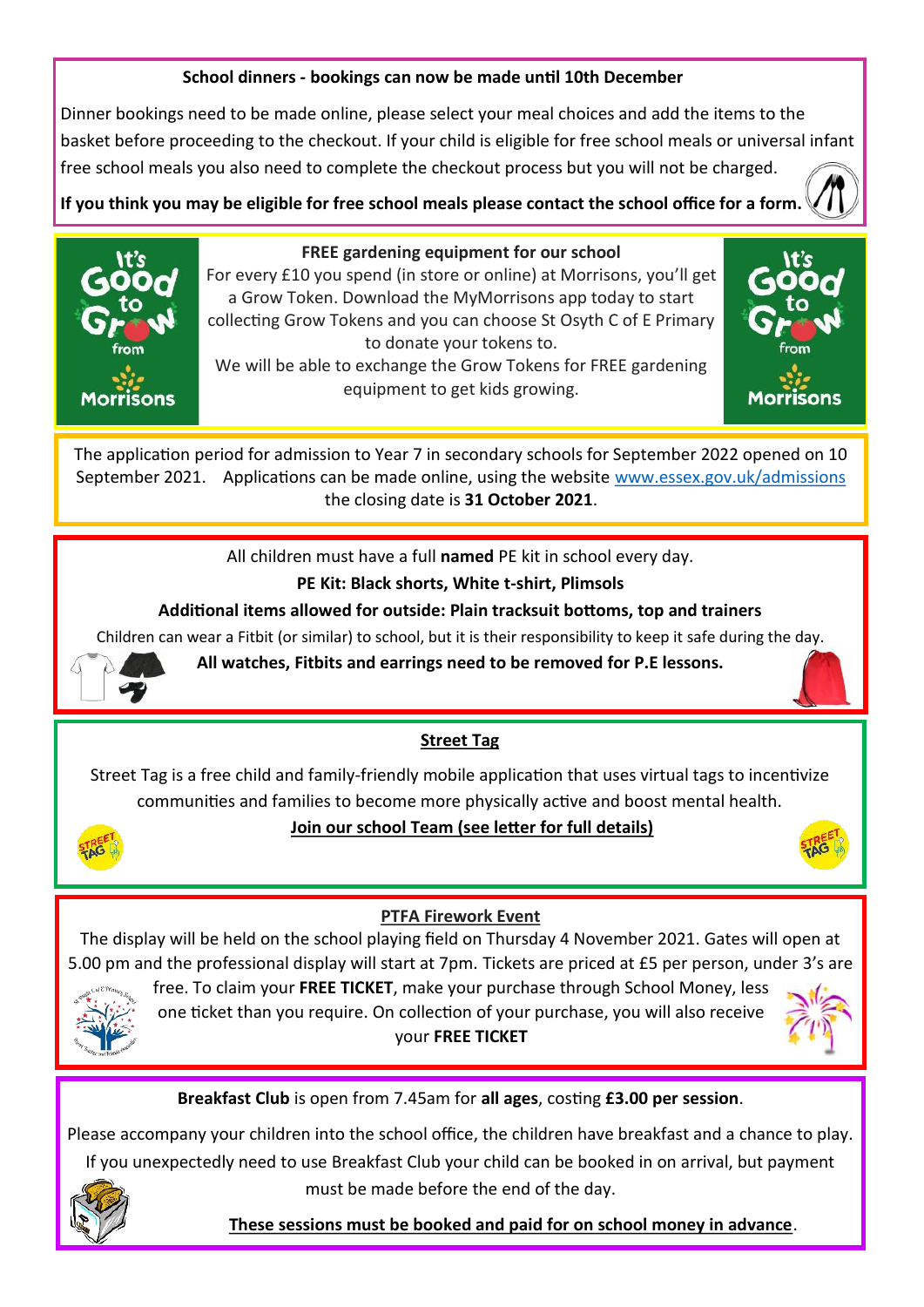#### **School dinners - bookings can now be made until 10th December**

Dinner bookings need to be made online, please select your meal choices and add the items to the basket before proceeding to the checkout. If your child is eligible for free school meals or universal infant free school meals you also need to complete the checkout process but you will not be charged.

**If you think you may be eligible for free school meals please contact the school office for a form.** 



#### **FREE gardening equipment for our school**

For every £10 you spend (in store or online) at Morrisons, you'll get a Grow Token. Download the MyMorrisons app today to start collecting Grow Tokens and you can choose St Osyth C of E Primary to donate your tokens to. We will be able to exchange the Grow Tokens for FREE gardening

equipment to get kids growing.



The application period for admission to Year 7 in secondary schools for September 2022 opened on 10 September 2021. Applications can be made online, using the website [www.essex.gov.uk/admissions](https://gbr01.safelinks.protection.outlook.com/?url=http%3A%2F%2Fwww.essex.gov.uk%2Fadmissions&data=04%7C01%7Cschooloffice.stosyth%40dcvst.org%7C2ef6e01cd56c4e7563a108d9743e1791%7C282c78034b8f4fbda3841682df47e3ad%7C1%7C0%7C637668632287896541%7CUnknown%7CTWFpb) the closing date is **31 October 2021**.

All children must have a full **named** PE kit in school every day.

# **PE Kit: Black shorts, White t-shirt, Plimsols**

### **Additional items allowed for outside: Plain tracksuit bottoms, top and trainers**

Children can wear a Fitbit (or similar) to school, but it is their responsibility to keep it safe during the day.



**All watches, Fitbits and earrings need to be removed for P.E lessons.**

#### **Street Tag**

Street Tag is a free child and family-friendly mobile application that uses virtual tags to incentivize communities and families to become more physically active and boost mental health.



# **Join our school Team (see letter for full details)**



#### **PTFA Firework Event**

The display will be held on the school playing field on Thursday 4 November 2021. Gates will open at 5.00 pm and the professional display will start at 7pm. Tickets are priced at £5 per person, under 3's are



free. To claim your **FREE TICKET**, make your purchase through School Money, less one ticket than you require. On collection of your purchase, you will also receive your **FREE TICKET** 



# **Breakfast Club** is open from 7.45am for **all ages**, costing **£3.00 per session**.

Please accompany your children into the school office, the children have breakfast and a chance to play. If you unexpectedly need to use Breakfast Club your child can be booked in on arrival, but payment must be made before the end of the day.



 **These sessions must be booked and paid for on school money in advance**.